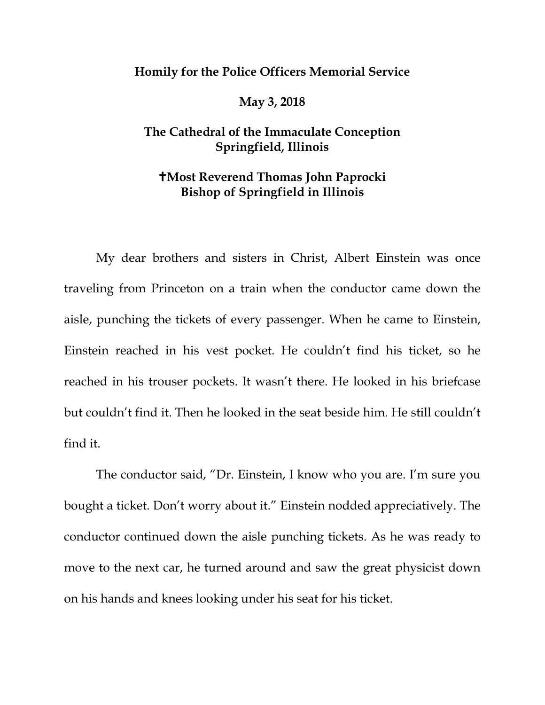#### **Homily for the Police Officers Memorial Service**

### **May 3, 2018**

## **The Cathedral of the Immaculate Conception Springfield, Illinois**

# **Most Reverend Thomas John Paprocki Bishop of Springfield in Illinois**

My dear brothers and sisters in Christ, Albert Einstein was once traveling from Princeton on a train when the conductor came down the aisle, punching the tickets of every passenger. When he came to Einstein, Einstein reached in his vest pocket. He couldn't find his ticket, so he reached in his trouser pockets. It wasn't there. He looked in his briefcase but couldn't find it. Then he looked in the seat beside him. He still couldn't find it.

The conductor said, "Dr. Einstein, I know who you are. I'm sure you bought a ticket. Don't worry about it." Einstein nodded appreciatively. The conductor continued down the aisle punching tickets. As he was ready to move to the next car, he turned around and saw the great physicist down on his hands and knees looking under his seat for his ticket.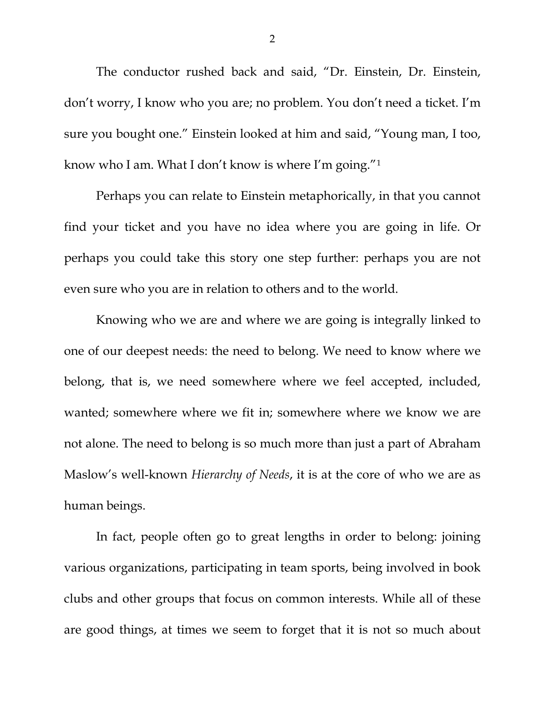The conductor rushed back and said, "Dr. Einstein, Dr. Einstein, don't worry, I know who you are; no problem. You don't need a ticket. I'm sure you bought one." Einstein looked at him and said, "Young man, I too, know who I am. What I don't know is where I'm going.["1](#page-4-0)

Perhaps you can relate to Einstein metaphorically, in that you cannot find your ticket and you have no idea where you are going in life. Or perhaps you could take this story one step further: perhaps you are not even sure who you are in relation to others and to the world.

Knowing who we are and where we are going is integrally linked to one of our deepest needs: the need to belong. We need to know where we belong, that is, we need somewhere where we feel accepted, included, wanted; somewhere where we fit in; somewhere where we know we are not alone. The need to belong is so much more than just a part of Abraham Maslow's well-known *Hierarchy of Needs*, it is at the core of who we are as human beings.

In fact, people often go to great lengths in order to belong: joining various organizations, participating in team sports, being involved in book clubs and other groups that focus on common interests. While all of these are good things, at times we seem to forget that it is not so much about

2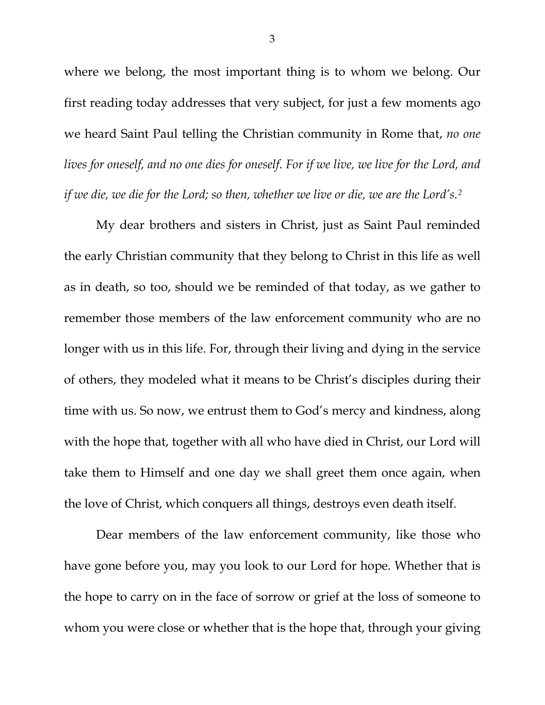where we belong, the most important thing is to whom we belong. Our first reading today addresses that very subject, for just a few moments ago we heard Saint Paul telling the Christian community in Rome that, *no one lives for oneself, and no one dies for oneself. For if we live, we live for the Lord, and if we die, we die for the Lord; so then, whether we live or die, we are the Lord's.[2](#page-4-1)*

My dear brothers and sisters in Christ, just as Saint Paul reminded the early Christian community that they belong to Christ in this life as well as in death, so too, should we be reminded of that today, as we gather to remember those members of the law enforcement community who are no longer with us in this life. For, through their living and dying in the service of others, they modeled what it means to be Christ's disciples during their time with us. So now, we entrust them to God's mercy and kindness, along with the hope that, together with all who have died in Christ, our Lord will take them to Himself and one day we shall greet them once again, when the love of Christ, which conquers all things, destroys even death itself.

Dear members of the law enforcement community, like those who have gone before you, may you look to our Lord for hope. Whether that is the hope to carry on in the face of sorrow or grief at the loss of someone to whom you were close or whether that is the hope that, through your giving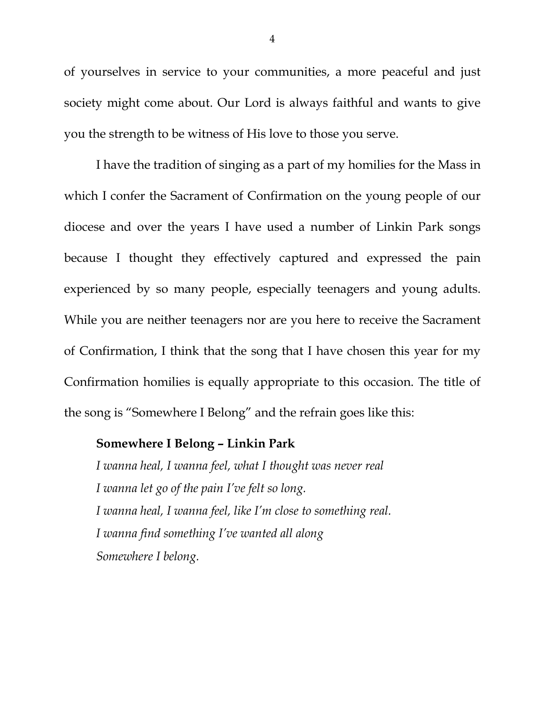of yourselves in service to your communities, a more peaceful and just society might come about. Our Lord is always faithful and wants to give you the strength to be witness of His love to those you serve.

I have the tradition of singing as a part of my homilies for the Mass in which I confer the Sacrament of Confirmation on the young people of our diocese and over the years I have used a number of Linkin Park songs because I thought they effectively captured and expressed the pain experienced by so many people, especially teenagers and young adults. While you are neither teenagers nor are you here to receive the Sacrament of Confirmation, I think that the song that I have chosen this year for my Confirmation homilies is equally appropriate to this occasion. The title of the song is "Somewhere I Belong" and the refrain goes like this:

#### **Somewhere I Belong – Linkin Park**

*I wanna heal, I wanna feel, what I thought was never real I wanna let go of the pain I've felt so long. I wanna heal, I wanna feel, like I'm close to something real. I wanna find something I've wanted all along Somewhere I belong.*